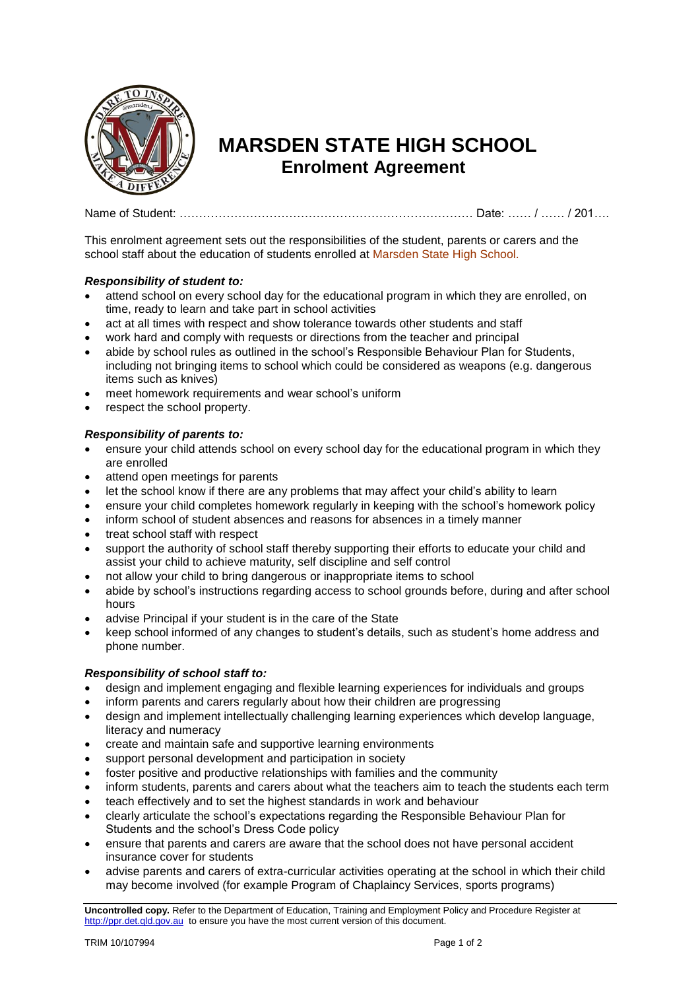

## **MARSDEN STATE HIGH SCHOOL Enrolment Agreement**

Name of Student: ………………………………………………………………… Date: …… / …… / 201….

This enrolment agreement sets out the responsibilities of the student, parents or carers and the school staff about the education of students enrolled at Marsden State High School.

## *Responsibility of student to:*

- attend school on every school day for the educational program in which they are enrolled, on time, ready to learn and take part in school activities
- act at all times with respect and show tolerance towards other students and staff
- work hard and comply with requests or directions from the teacher and principal
- abide by school rules as outlined in the school's Responsible Behaviour Plan for Students, including not bringing items to school which could be considered as weapons (e.g. dangerous items such as knives)
- meet homework requirements and wear school's uniform
- respect the school property.

## *Responsibility of parents to:*

- ensure your child attends school on every school day for the educational program in which they are enrolled
- attend open meetings for parents
- let the school know if there are any problems that may affect your child's ability to learn
- ensure your child completes homework regularly in keeping with the school's homework policy
- inform school of student absences and reasons for absences in a timely manner
- treat school staff with respect
- support the authority of school staff thereby supporting their efforts to educate your child and assist your child to achieve maturity, self discipline and self control
- not allow your child to bring dangerous or inappropriate items to school
- abide by school's instructions regarding access to school grounds before, during and after school hours
- advise Principal if your student is in the care of the State
- keep school informed of any changes to student's details, such as student's home address and phone number.

## *Responsibility of school staff to:*

- design and implement engaging and flexible learning experiences for individuals and groups
- inform parents and carers regularly about how their children are progressing
- design and implement intellectually challenging learning experiences which develop language, literacy and numeracy
- create and maintain safe and supportive learning environments
- support personal development and participation in society
- foster positive and productive relationships with families and the community
- inform students, parents and carers about what the teachers aim to teach the students each term
- teach effectively and to set the highest standards in work and behaviour
- clearly articulate the school's expectations regarding the Responsible Behaviour Plan for Students and the school's Dress Code policy
- ensure that parents and carers are aware that the school does not have personal accident insurance cover for students
- advise parents and carers of extra-curricular activities operating at the school in which their child may become involved (for example Program of Chaplaincy Services, sports programs)

**Uncontrolled copy.** Refer to the Department of Education, Training and Employment Policy and Procedure Register at [http://ppr.det.qld.gov.au](http://ppr.det.qld.gov.au/) to ensure you have the most current version of this document.